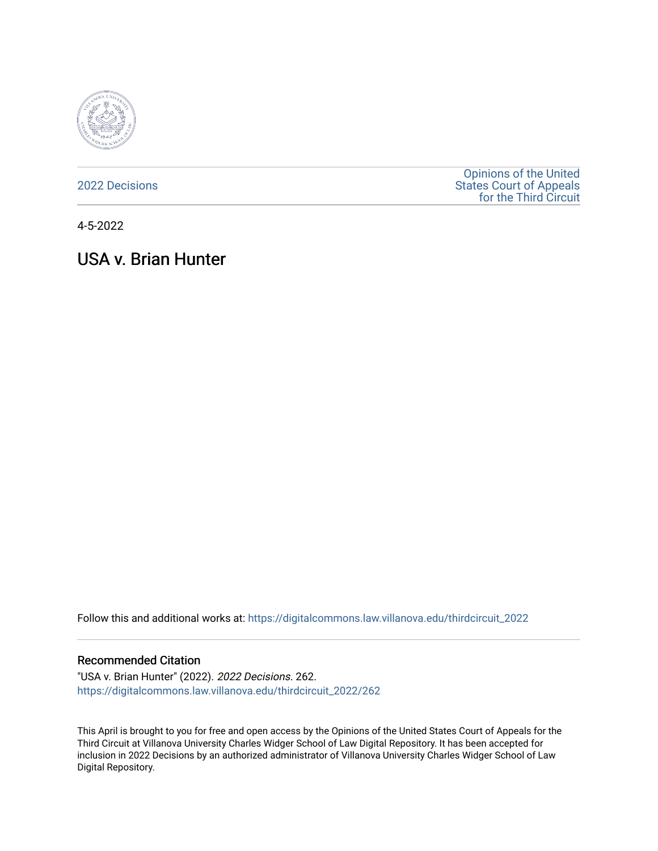

[2022 Decisions](https://digitalcommons.law.villanova.edu/thirdcircuit_2022)

[Opinions of the United](https://digitalcommons.law.villanova.edu/thirdcircuit)  [States Court of Appeals](https://digitalcommons.law.villanova.edu/thirdcircuit)  [for the Third Circuit](https://digitalcommons.law.villanova.edu/thirdcircuit) 

4-5-2022

# USA v. Brian Hunter

Follow this and additional works at: [https://digitalcommons.law.villanova.edu/thirdcircuit\\_2022](https://digitalcommons.law.villanova.edu/thirdcircuit_2022?utm_source=digitalcommons.law.villanova.edu%2Fthirdcircuit_2022%2F262&utm_medium=PDF&utm_campaign=PDFCoverPages) 

#### Recommended Citation

"USA v. Brian Hunter" (2022). 2022 Decisions. 262. [https://digitalcommons.law.villanova.edu/thirdcircuit\\_2022/262](https://digitalcommons.law.villanova.edu/thirdcircuit_2022/262?utm_source=digitalcommons.law.villanova.edu%2Fthirdcircuit_2022%2F262&utm_medium=PDF&utm_campaign=PDFCoverPages)

This April is brought to you for free and open access by the Opinions of the United States Court of Appeals for the Third Circuit at Villanova University Charles Widger School of Law Digital Repository. It has been accepted for inclusion in 2022 Decisions by an authorized administrator of Villanova University Charles Widger School of Law Digital Repository.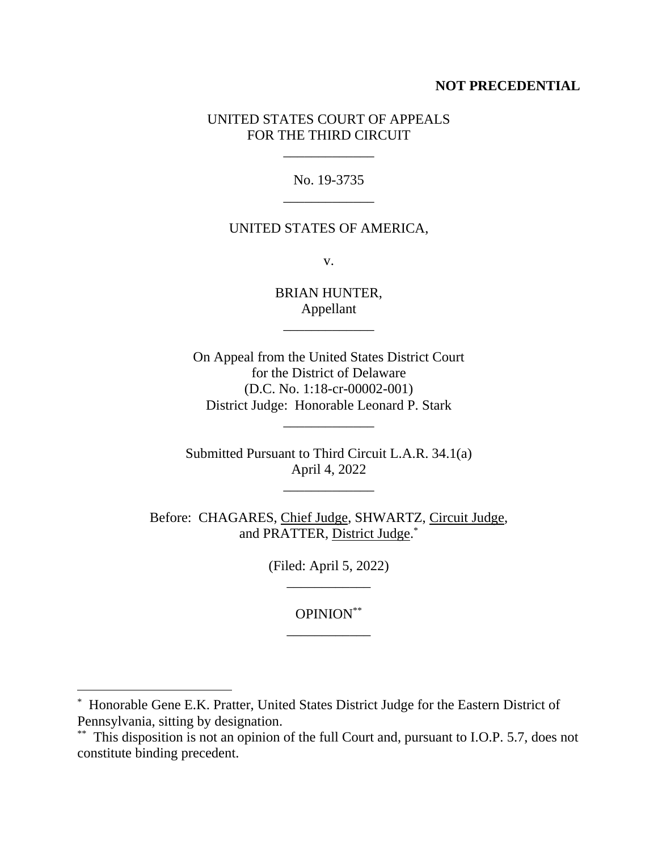## **NOT PRECEDENTIAL**

## UNITED STATES COURT OF APPEALS FOR THE THIRD CIRCUIT

\_\_\_\_\_\_\_\_\_\_\_\_\_

No. 19-3735 \_\_\_\_\_\_\_\_\_\_\_\_\_

#### UNITED STATES OF AMERICA,

v.

BRIAN HUNTER, Appellant

\_\_\_\_\_\_\_\_\_\_\_\_\_

On Appeal from the United States District Court for the District of Delaware (D.C. No. 1:18-cr-00002-001) District Judge: Honorable Leonard P. Stark

\_\_\_\_\_\_\_\_\_\_\_\_\_

Submitted Pursuant to Third Circuit L.A.R. 34.1(a) April 4, 2022

\_\_\_\_\_\_\_\_\_\_\_\_\_

Before: CHAGARES, Chief Judge, SHWARTZ, Circuit Judge, and PRATTER, District Judge.\*

> (Filed: April 5, 2022) \_\_\_\_\_\_\_\_\_\_\_\_

> > OPINION\*\* \_\_\_\_\_\_\_\_\_\_\_\_

\* Honorable Gene E.K. Pratter, United States District Judge for the Eastern District of Pennsylvania, sitting by designation.

<sup>\*\*</sup> This disposition is not an opinion of the full Court and, pursuant to I.O.P. 5.7, does not constitute binding precedent.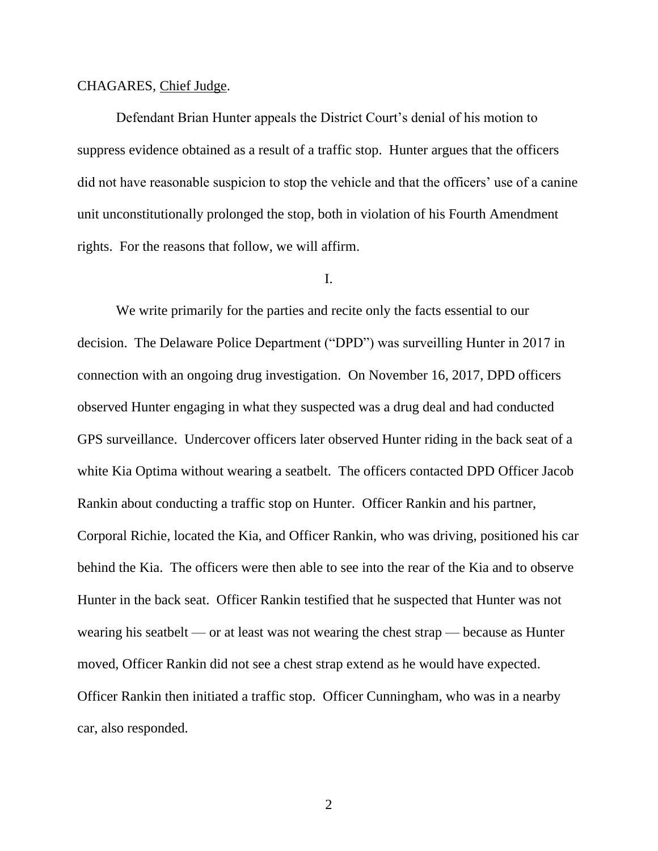#### CHAGARES, Chief Judge.

Defendant Brian Hunter appeals the District Court's denial of his motion to suppress evidence obtained as a result of a traffic stop. Hunter argues that the officers did not have reasonable suspicion to stop the vehicle and that the officers' use of a canine unit unconstitutionally prolonged the stop, both in violation of his Fourth Amendment rights. For the reasons that follow, we will affirm.

## I.

We write primarily for the parties and recite only the facts essential to our decision. The Delaware Police Department ("DPD") was surveilling Hunter in 2017 in connection with an ongoing drug investigation. On November 16, 2017, DPD officers observed Hunter engaging in what they suspected was a drug deal and had conducted GPS surveillance. Undercover officers later observed Hunter riding in the back seat of a white Kia Optima without wearing a seatbelt. The officers contacted DPD Officer Jacob Rankin about conducting a traffic stop on Hunter. Officer Rankin and his partner, Corporal Richie, located the Kia, and Officer Rankin, who was driving, positioned his car behind the Kia. The officers were then able to see into the rear of the Kia and to observe Hunter in the back seat. Officer Rankin testified that he suspected that Hunter was not wearing his seatbelt — or at least was not wearing the chest strap — because as Hunter moved, Officer Rankin did not see a chest strap extend as he would have expected. Officer Rankin then initiated a traffic stop. Officer Cunningham, who was in a nearby car, also responded.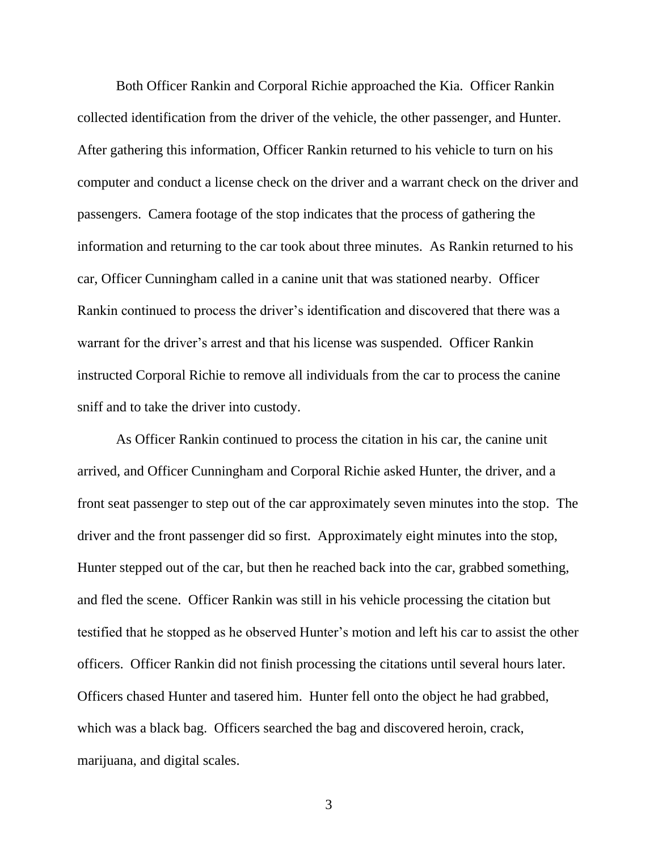Both Officer Rankin and Corporal Richie approached the Kia. Officer Rankin collected identification from the driver of the vehicle, the other passenger, and Hunter. After gathering this information, Officer Rankin returned to his vehicle to turn on his computer and conduct a license check on the driver and a warrant check on the driver and passengers. Camera footage of the stop indicates that the process of gathering the information and returning to the car took about three minutes. As Rankin returned to his car, Officer Cunningham called in a canine unit that was stationed nearby. Officer Rankin continued to process the driver's identification and discovered that there was a warrant for the driver's arrest and that his license was suspended. Officer Rankin instructed Corporal Richie to remove all individuals from the car to process the canine sniff and to take the driver into custody.

As Officer Rankin continued to process the citation in his car, the canine unit arrived, and Officer Cunningham and Corporal Richie asked Hunter, the driver, and a front seat passenger to step out of the car approximately seven minutes into the stop. The driver and the front passenger did so first. Approximately eight minutes into the stop, Hunter stepped out of the car, but then he reached back into the car, grabbed something, and fled the scene. Officer Rankin was still in his vehicle processing the citation but testified that he stopped as he observed Hunter's motion and left his car to assist the other officers. Officer Rankin did not finish processing the citations until several hours later. Officers chased Hunter and tasered him. Hunter fell onto the object he had grabbed, which was a black bag. Officers searched the bag and discovered heroin, crack, marijuana, and digital scales.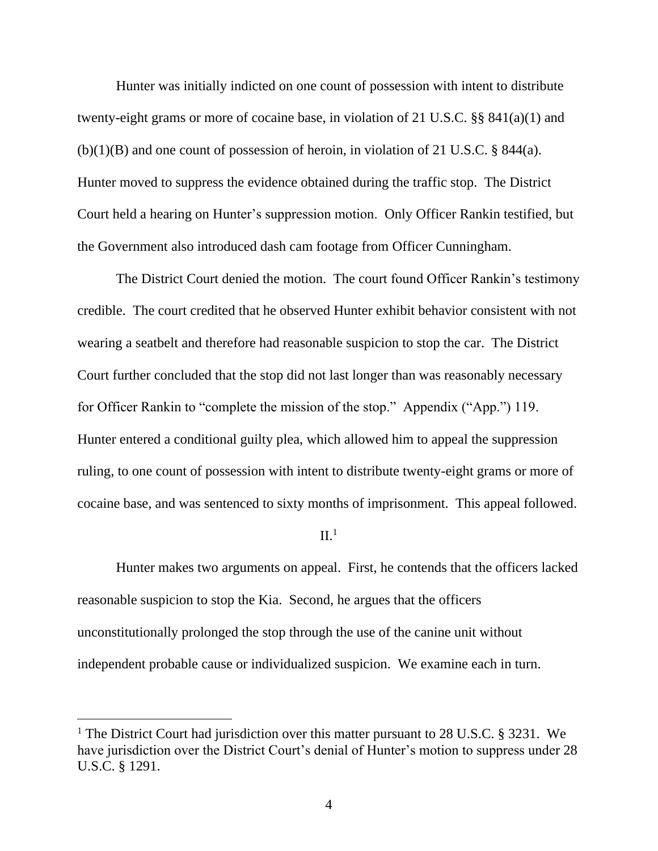Hunter was initially indicted on one count of possession with intent to distribute twenty-eight grams or more of cocaine base, in violation of 21 U.S.C. §§ 841(a)(1) and (b)(1)(B) and one count of possession of heroin, in violation of 21 U.S.C. § 844(a). Hunter moved to suppress the evidence obtained during the traffic stop. The District Court held a hearing on Hunter's suppression motion. Only Officer Rankin testified, but the Government also introduced dash cam footage from Officer Cunningham.

The District Court denied the motion. The court found Officer Rankin's testimony credible. The court credited that he observed Hunter exhibit behavior consistent with not wearing a seatbelt and therefore had reasonable suspicion to stop the car. The District Court further concluded that the stop did not last longer than was reasonably necessary for Officer Rankin to "complete the mission of the stop." Appendix ("App.") 119. Hunter entered a conditional guilty plea, which allowed him to appeal the suppression ruling, to one count of possession with intent to distribute twenty-eight grams or more of cocaine base, and was sentenced to sixty months of imprisonment. This appeal followed.

#### $II<sup>1</sup>$

Hunter makes two arguments on appeal. First, he contends that the officers lacked reasonable suspicion to stop the Kia. Second, he argues that the officers unconstitutionally prolonged the stop through the use of the canine unit without independent probable cause or individualized suspicion. We examine each in turn.

<sup>&</sup>lt;sup>1</sup> The District Court had jurisdiction over this matter pursuant to 28 U.S.C. § 3231. We have jurisdiction over the District Court's denial of Hunter's motion to suppress under 28 U.S.C. § 1291.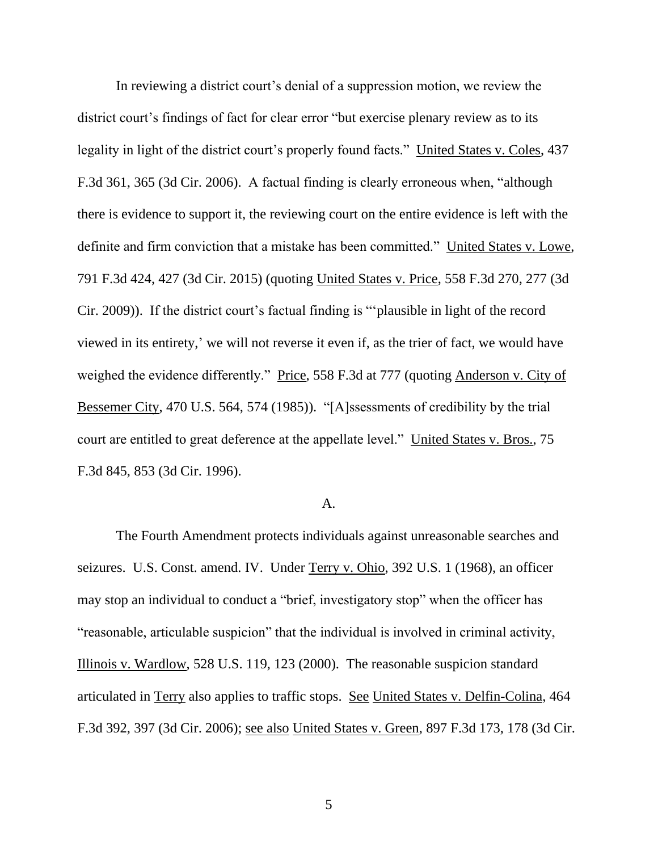In reviewing a district court's denial of a suppression motion, we review the district court's findings of fact for clear error "but exercise plenary review as to its legality in light of the district court's properly found facts." United States v. Coles, 437 F.3d 361, 365 (3d Cir. 2006). A factual finding is clearly erroneous when, "although there is evidence to support it, the reviewing court on the entire evidence is left with the definite and firm conviction that a mistake has been committed." United States v. Lowe, 791 F.3d 424, 427 (3d Cir. 2015) (quoting United States v. Price, 558 F.3d 270, 277 (3d Cir. 2009)). If the district court's factual finding is "'plausible in light of the record viewed in its entirety,' we will not reverse it even if, as the trier of fact, we would have weighed the evidence differently." Price, 558 F.3d at 777 (quoting Anderson v. City of Bessemer City, 470 U.S. 564, 574 (1985)). "[A]ssessments of credibility by the trial court are entitled to great deference at the appellate level." United States v. Bros., 75 F.3d 845, 853 (3d Cir. 1996).

#### A.

The Fourth Amendment protects individuals against unreasonable searches and seizures. U.S. Const. amend. IV. Under Terry v. Ohio, 392 U.S. 1 (1968), an officer may stop an individual to conduct a "brief, investigatory stop" when the officer has "reasonable, articulable suspicion" that the individual is involved in criminal activity, Illinois v. Wardlow, 528 U.S. 119, 123 (2000). The reasonable suspicion standard articulated in Terry also applies to traffic stops. See United States v. Delfin-Colina, 464 F.3d 392, 397 (3d Cir. 2006); see also United States v. Green, 897 F.3d 173, 178 (3d Cir.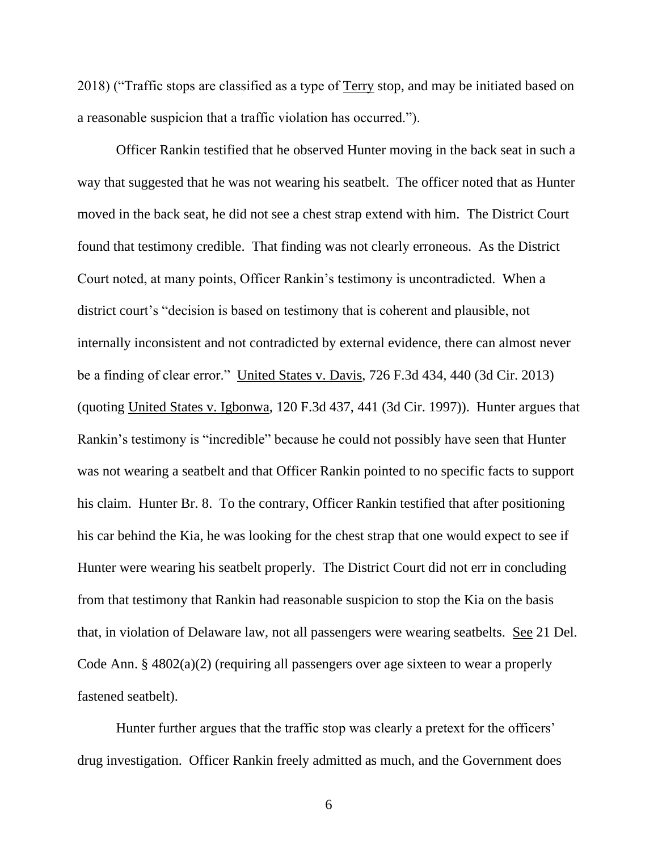2018) ("Traffic stops are classified as a type of Terry stop, and may be initiated based on a reasonable suspicion that a traffic violation has occurred.").

Officer Rankin testified that he observed Hunter moving in the back seat in such a way that suggested that he was not wearing his seatbelt. The officer noted that as Hunter moved in the back seat, he did not see a chest strap extend with him. The District Court found that testimony credible. That finding was not clearly erroneous. As the District Court noted, at many points, Officer Rankin's testimony is uncontradicted. When a district court's "decision is based on testimony that is coherent and plausible, not internally inconsistent and not contradicted by external evidence, there can almost never be a finding of clear error." United States v. Davis, 726 F.3d 434, 440 (3d Cir. 2013) (quoting United States v. Igbonwa, 120 F.3d 437, 441 (3d Cir. 1997)). Hunter argues that Rankin's testimony is "incredible" because he could not possibly have seen that Hunter was not wearing a seatbelt and that Officer Rankin pointed to no specific facts to support his claim. Hunter Br. 8. To the contrary, Officer Rankin testified that after positioning his car behind the Kia, he was looking for the chest strap that one would expect to see if Hunter were wearing his seatbelt properly. The District Court did not err in concluding from that testimony that Rankin had reasonable suspicion to stop the Kia on the basis that, in violation of Delaware law, not all passengers were wearing seatbelts. See 21 Del. Code Ann. § 4802(a)(2) (requiring all passengers over age sixteen to wear a properly fastened seatbelt).

Hunter further argues that the traffic stop was clearly a pretext for the officers' drug investigation. Officer Rankin freely admitted as much, and the Government does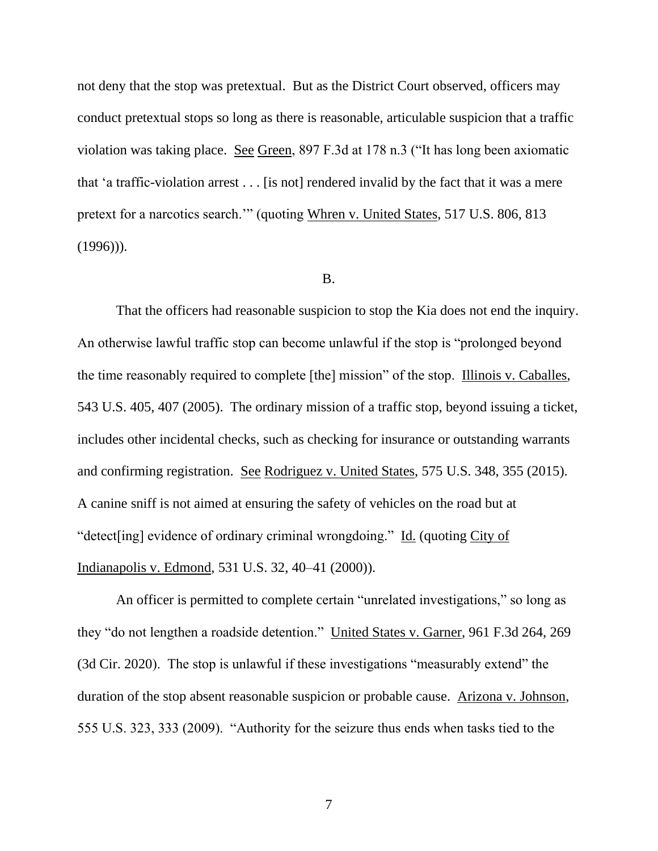not deny that the stop was pretextual. But as the District Court observed, officers may conduct pretextual stops so long as there is reasonable, articulable suspicion that a traffic violation was taking place. See Green, 897 F.3d at 178 n.3 ("It has long been axiomatic that 'a traffic-violation arrest . . . [is not] rendered invalid by the fact that it was a mere pretext for a narcotics search.'" (quoting Whren v. United States, 517 U.S. 806, 813  $(1996)$ ).

### B.

That the officers had reasonable suspicion to stop the Kia does not end the inquiry. An otherwise lawful traffic stop can become unlawful if the stop is "prolonged beyond the time reasonably required to complete [the] mission" of the stop. Illinois v. Caballes, 543 U.S. 405, 407 (2005). The ordinary mission of a traffic stop, beyond issuing a ticket, includes other incidental checks, such as checking for insurance or outstanding warrants and confirming registration. See Rodriguez v. United States, 575 U.S. 348, 355 (2015). A canine sniff is not aimed at ensuring the safety of vehicles on the road but at "detect[ing] evidence of ordinary criminal wrongdoing." Id. (quoting City of Indianapolis v. Edmond, 531 U.S. 32, 40–41 (2000)).

An officer is permitted to complete certain "unrelated investigations," so long as they "do not lengthen a roadside detention." United States v. Garner, 961 F.3d 264, 269 (3d Cir. 2020). The stop is unlawful if these investigations "measurably extend" the duration of the stop absent reasonable suspicion or probable cause. Arizona v. Johnson, 555 U.S. 323, 333 (2009). "Authority for the seizure thus ends when tasks tied to the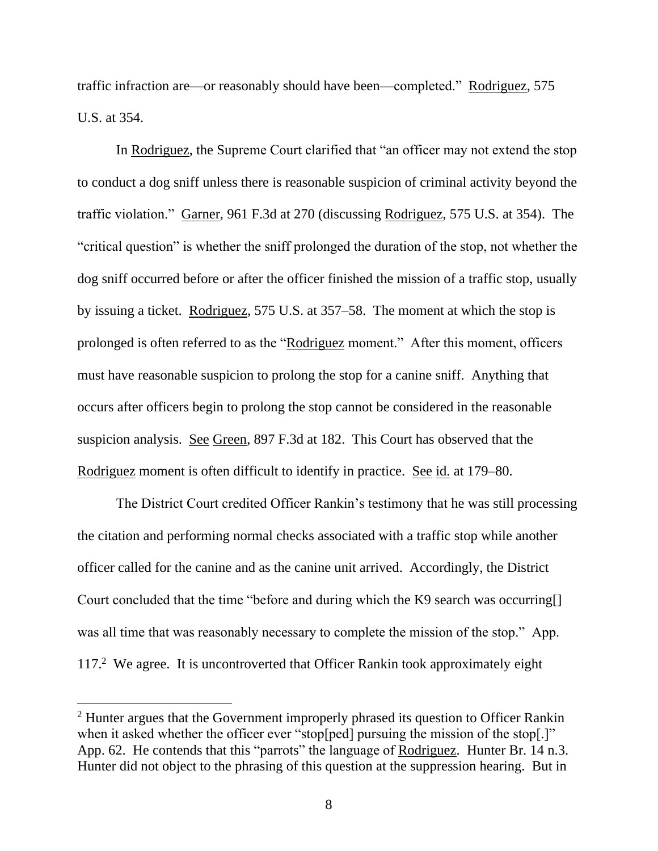traffic infraction are—or reasonably should have been—completed." Rodriguez, 575 U.S. at 354.

In Rodriguez, the Supreme Court clarified that "an officer may not extend the stop to conduct a dog sniff unless there is reasonable suspicion of criminal activity beyond the traffic violation." Garner, 961 F.3d at 270 (discussing Rodriguez, 575 U.S. at 354). The "critical question" is whether the sniff prolonged the duration of the stop, not whether the dog sniff occurred before or after the officer finished the mission of a traffic stop, usually by issuing a ticket. Rodriguez, 575 U.S. at 357–58. The moment at which the stop is prolonged is often referred to as the "Rodriguez moment." After this moment, officers must have reasonable suspicion to prolong the stop for a canine sniff. Anything that occurs after officers begin to prolong the stop cannot be considered in the reasonable suspicion analysis. See Green, 897 F.3d at 182. This Court has observed that the Rodriguez moment is often difficult to identify in practice. See id. at 179–80.

The District Court credited Officer Rankin's testimony that he was still processing the citation and performing normal checks associated with a traffic stop while another officer called for the canine and as the canine unit arrived. Accordingly, the District Court concluded that the time "before and during which the K9 search was occurring[] was all time that was reasonably necessary to complete the mission of the stop." App. 117.<sup>2</sup> We agree. It is uncontroverted that Officer Rankin took approximately eight

<sup>&</sup>lt;sup>2</sup> Hunter argues that the Government improperly phrased its question to Officer Rankin when it asked whether the officer ever "stop[ped] pursuing the mission of the stop[.]" App. 62. He contends that this "parrots" the language of Rodriguez. Hunter Br. 14 n.3. Hunter did not object to the phrasing of this question at the suppression hearing. But in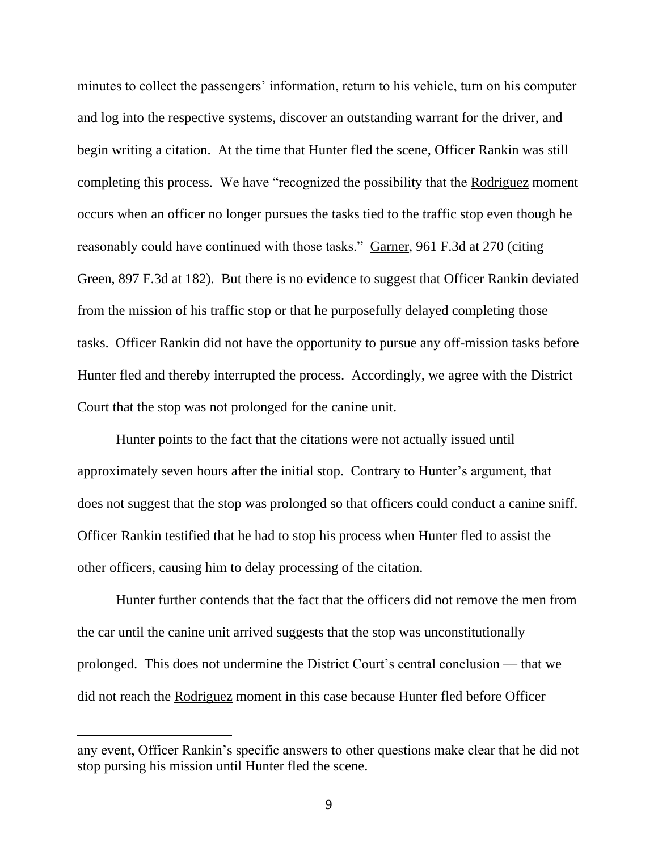minutes to collect the passengers' information, return to his vehicle, turn on his computer and log into the respective systems, discover an outstanding warrant for the driver, and begin writing a citation. At the time that Hunter fled the scene, Officer Rankin was still completing this process. We have "recognized the possibility that the Rodriguez moment occurs when an officer no longer pursues the tasks tied to the traffic stop even though he reasonably could have continued with those tasks." Garner, 961 F.3d at 270 (citing Green, 897 F.3d at 182). But there is no evidence to suggest that Officer Rankin deviated from the mission of his traffic stop or that he purposefully delayed completing those tasks. Officer Rankin did not have the opportunity to pursue any off-mission tasks before Hunter fled and thereby interrupted the process. Accordingly, we agree with the District Court that the stop was not prolonged for the canine unit.

Hunter points to the fact that the citations were not actually issued until approximately seven hours after the initial stop. Contrary to Hunter's argument, that does not suggest that the stop was prolonged so that officers could conduct a canine sniff. Officer Rankin testified that he had to stop his process when Hunter fled to assist the other officers, causing him to delay processing of the citation.

Hunter further contends that the fact that the officers did not remove the men from the car until the canine unit arrived suggests that the stop was unconstitutionally prolonged. This does not undermine the District Court's central conclusion — that we did not reach the Rodriguez moment in this case because Hunter fled before Officer

any event, Officer Rankin's specific answers to other questions make clear that he did not stop pursing his mission until Hunter fled the scene.